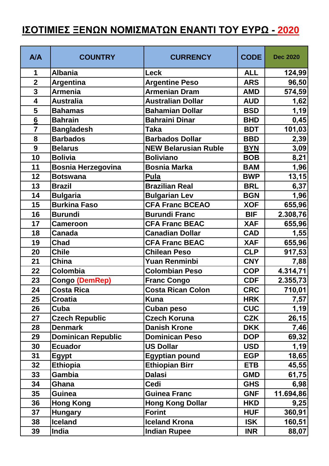## **ΙΣΟΤΙΜΙΕΣ ΞΕΝΩΝ ΝΟΜΙΣΜΑΤΩΝ ΕΝΑΝΤΙ ΤΟΥ ΕΥΡΩ - 2020**

| <b>A/A</b>              | <b>COUNTRY</b>            | <b>CURRENCY</b>             | <b>CODE</b> | <b>Dec 2020</b> |
|-------------------------|---------------------------|-----------------------------|-------------|-----------------|
| 1                       | <b>Albania</b>            | <b>Leck</b>                 | <b>ALL</b>  | 124,99          |
| $\overline{2}$          | Argentina                 | <b>Argentine Peso</b>       | <b>ARS</b>  | 96,50           |
| $\overline{\mathbf{3}}$ | <b>Armenia</b>            | <b>Armenian Dram</b>        | <b>AMD</b>  | 574,59          |
| 4                       | <b>Australia</b>          | <b>Australian Dollar</b>    | <b>AUD</b>  | 1,62            |
| 5                       | <b>Bahamas</b>            | <b>Bahamian Dollar</b>      | <b>BSD</b>  | 1,19            |
| 6                       | <b>Bahrain</b>            | <b>Bahraini Dinar</b>       | <b>BHD</b>  | 0,45            |
| $\overline{7}$          | <b>Bangladesh</b>         | <b>Taka</b>                 | <b>BDT</b>  | 101,03          |
| 8                       | <b>Barbados</b>           | <b>Barbados Dollar</b>      | <b>BBD</b>  | 2,39            |
| 9                       | <b>Belarus</b>            | <b>NEW Belarusian Ruble</b> | <b>BYN</b>  | 3,09            |
| 10                      | <b>Bolivia</b>            | <b>Boliviano</b>            | <b>BOB</b>  | 8,21            |
| 11                      | <b>Bosnia Herzegovina</b> | <b>Bosnia Marka</b>         | <b>BAM</b>  | 1,96            |
| 12                      | <b>Botswana</b>           | <b>Pula</b>                 | <b>BWP</b>  | 13, 15          |
| 13                      | <b>Brazil</b>             | <b>Brazilian Real</b>       | <b>BRL</b>  | 6,37            |
| 14                      | <b>Bulgaria</b>           | <b>Bulgarian Lev</b>        | <b>BGN</b>  | 1,96            |
| 15                      | <b>Burkina Faso</b>       | <b>CFA Franc BCEAO</b>      | <b>XOF</b>  | 655,96          |
| 16                      | <b>Burundi</b>            | <b>Burundi Franc</b>        | <b>BIF</b>  | 2.308,76        |
| 17                      | <b>Cameroon</b>           | <b>CFA Franc BEAC</b>       | <b>XAF</b>  | 655,96          |
| 18                      | <b>Canada</b>             | <b>Canadian Dollar</b>      | <b>CAD</b>  | 1,55            |
| 19                      | <b>Chad</b>               | <b>CFA Franc BEAC</b>       | <b>XAF</b>  | 655,96          |
| 20                      | <b>Chile</b>              | <b>Chilean Peso</b>         | <b>CLP</b>  | 917,53          |
| 21                      | China                     | Yuan Renminbi               | <b>CNY</b>  | 7,88            |
| 22                      | Colombia                  | <b>Colombian Peso</b>       | <b>COP</b>  | 4.314,71        |
| 23                      | Congo (DemRep)            | <b>Franc Congo</b>          | <b>CDF</b>  | 2.355,73        |
| 24                      | <b>Costa Rica</b>         | <b>Costa Rican Colon</b>    | <b>CRC</b>  | 710,01          |
| 25                      | <b>Croatia</b>            | <b>Kuna</b>                 | <b>HRK</b>  | 7,57            |
| 26                      | Cuba                      | <b>Cuban peso</b>           | <b>CUC</b>  | 1,19            |
| 27                      | <b>Czech Republic</b>     | <b>Czech Koruna</b>         | <b>CZK</b>  | 26,15           |
| 28                      | <b>Denmark</b>            | <b>Danish Krone</b>         | <b>DKK</b>  | 7,46            |
| 29                      | <b>Dominican Republic</b> | <b>Dominican Peso</b>       | <b>DOP</b>  | 69,32           |
| 30                      | <b>Ecuador</b>            | <b>US Dollar</b>            | <b>USD</b>  | 1,19            |
| 31                      | <b>Egypt</b>              | <b>Egyptian pound</b>       | <b>EGP</b>  | 18,65           |
| 32                      | <b>Ethiopia</b>           | <b>Ethiopian Birr</b>       | <b>ETB</b>  | 45,55           |
| 33                      | Gambia                    | <b>Dalasi</b>               | <b>GMD</b>  | 61,75           |
| 34                      | Ghana                     | <b>Cedi</b>                 | <b>GHS</b>  | 6,98            |
| 35                      | <b>Guinea</b>             | <b>Guinea Franc</b>         | <b>GNF</b>  | 11.694,86       |
| 36                      | <b>Hong Kong</b>          | <b>Hong Kong Dollar</b>     | <b>HKD</b>  | 9,25            |
| 37                      | <b>Hungary</b>            | <b>Forint</b>               | <b>HUF</b>  | 360,91          |
| 38                      | <b>Iceland</b>            | <b>Iceland Krona</b>        | <b>ISK</b>  | 160,51          |
| 39                      | India                     | <b>Indian Rupee</b>         | <b>INR</b>  | 88,07           |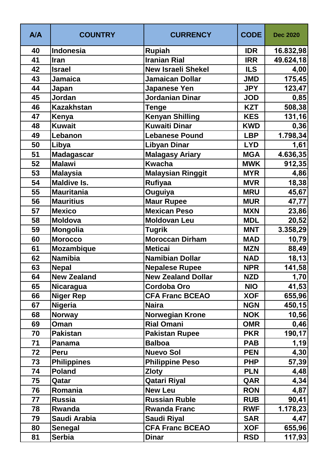| <b>A/A</b> | <b>COUNTRY</b>     | <b>CURRENCY</b>           | <b>CODE</b> | <b>Dec 2020</b> |
|------------|--------------------|---------------------------|-------------|-----------------|
| 40         | Indonesia          | <b>Rupiah</b>             | <b>IDR</b>  | 16.832,98       |
| 41         | Iran               | <b>Iranian Rial</b>       | <b>IRR</b>  | 49.624,18       |
| 42         | <b>Israel</b>      | <b>New Israeli Shekel</b> | <b>ILS</b>  | 4,00            |
| 43         | <b>Jamaica</b>     | <b>Jamaican Dollar</b>    | <b>JMD</b>  | 175,45          |
| 44         | Japan              | <b>Japanese Yen</b>       | <b>JPY</b>  | 123,47          |
| 45         | Jordan             | <b>Jordanian Dinar</b>    | <b>JOD</b>  | 0,85            |
| 46         | <b>Kazakhstan</b>  | <b>Tenge</b>              | <b>KZT</b>  | 508,38          |
| 47         | Kenya              | <b>Kenyan Shilling</b>    | <b>KES</b>  | 131,16          |
| 48         | <b>Kuwait</b>      | <b>Kuwaiti Dinar</b>      | <b>KWD</b>  | 0,36            |
| 49         | Lebanon            | <b>Lebanese Pound</b>     | <b>LBP</b>  | 1.798,34        |
| 50         | Libya              | <b>Libyan Dinar</b>       | <b>LYD</b>  | 1,61            |
| 51         | <b>Madagascar</b>  | <b>Malagasy Ariary</b>    | <b>MGA</b>  | 4.636,35        |
| 52         | <b>Malawi</b>      | <b>Kwacha</b>             | <b>MWK</b>  | 912,35          |
| 53         | <b>Malaysia</b>    | <b>Malaysian Ringgit</b>  | <b>MYR</b>  | 4,86            |
| 54         | <b>Maldive Is.</b> | <b>Rufiyaa</b>            | <b>MVR</b>  | 18,38           |
| 55         | <b>Mauritania</b>  | Ouguiya                   | <b>MRU</b>  | 45,67           |
| 56         | <b>Mauritius</b>   | <b>Maur Rupee</b>         | <b>MUR</b>  | 47,77           |
| 57         | <b>Mexico</b>      | <b>Mexican Peso</b>       | <b>MXN</b>  | 23,86           |
| 58         | <b>Moldova</b>     | <b>Moldovan Leu</b>       | <b>MDL</b>  | 20,52           |
| 59         | <b>Mongolia</b>    | <b>Tugrik</b>             | <b>MNT</b>  | 3.358,29        |
| 60         | <b>Morocco</b>     | <b>Moroccan Dirham</b>    | <b>MAD</b>  | 10,79           |
| 61         | <b>Mozambique</b>  | <b>Meticai</b>            | <b>MZN</b>  | 88,49           |
| 62         | <b>Namibia</b>     | <b>Namibian Dollar</b>    | <b>NAD</b>  | 18, 13          |
| 63         | <b>Nepal</b>       | <b>Nepalese Rupee</b>     | <b>NPR</b>  | 141,58          |
| 64         | <b>New Zealand</b> | <b>New Zealand Dollar</b> | <b>NZD</b>  | 1,70            |
| 65         | Nicaragua          | <b>Cordoba Oro</b>        | <b>NIO</b>  | 41,53           |
| 66         | <b>Niger Rep</b>   | <b>CFA Franc BCEAO</b>    | <b>XOF</b>  | 655,96          |
| 67         | <b>Nigeria</b>     | <b>Naira</b>              | <b>NGN</b>  | 450,15          |
| 68         | <b>Norway</b>      | <b>Norwegian Krone</b>    | <b>NOK</b>  | 10,56           |
| 69         | Oman               | <b>Rial Omani</b>         | <b>OMR</b>  | 0,46            |
| 70         | <b>Pakistan</b>    | <b>Pakistan Rupee</b>     | <b>PKR</b>  | 190,17          |
| 71         | <b>Panama</b>      | <b>Balboa</b>             | <b>PAB</b>  | 1,19            |
| 72         | <b>Peru</b>        | <b>Nuevo Sol</b>          | <b>PEN</b>  | 4,30            |
| 73         | Philippines        | <b>Philippine Peso</b>    | <b>PHP</b>  | 57,39           |
| 74         | <b>Poland</b>      | <b>Zloty</b>              | <b>PLN</b>  | 4,48            |
| 75         | Qatar              | <b>Qatari Riyal</b>       | QAR         | 4,34            |
| 76         | Romania            | <b>New Leu</b>            | <b>RON</b>  | 4,87            |
| 77         | <b>Russia</b>      | <b>Russian Ruble</b>      | <b>RUB</b>  | 90,41           |
| 78         | Rwanda             | <b>Rwanda Franc</b>       | <b>RWF</b>  | 1.178,23        |
| 79         | Saudi Arabia       | <b>Saudi Riyal</b>        | <b>SAR</b>  | 4,47            |
| 80         | <b>Senegal</b>     | <b>CFA Franc BCEAO</b>    | <b>XOF</b>  | 655,96          |
| 81         | <b>Serbia</b>      | <b>Dinar</b>              | <b>RSD</b>  | 117,93          |